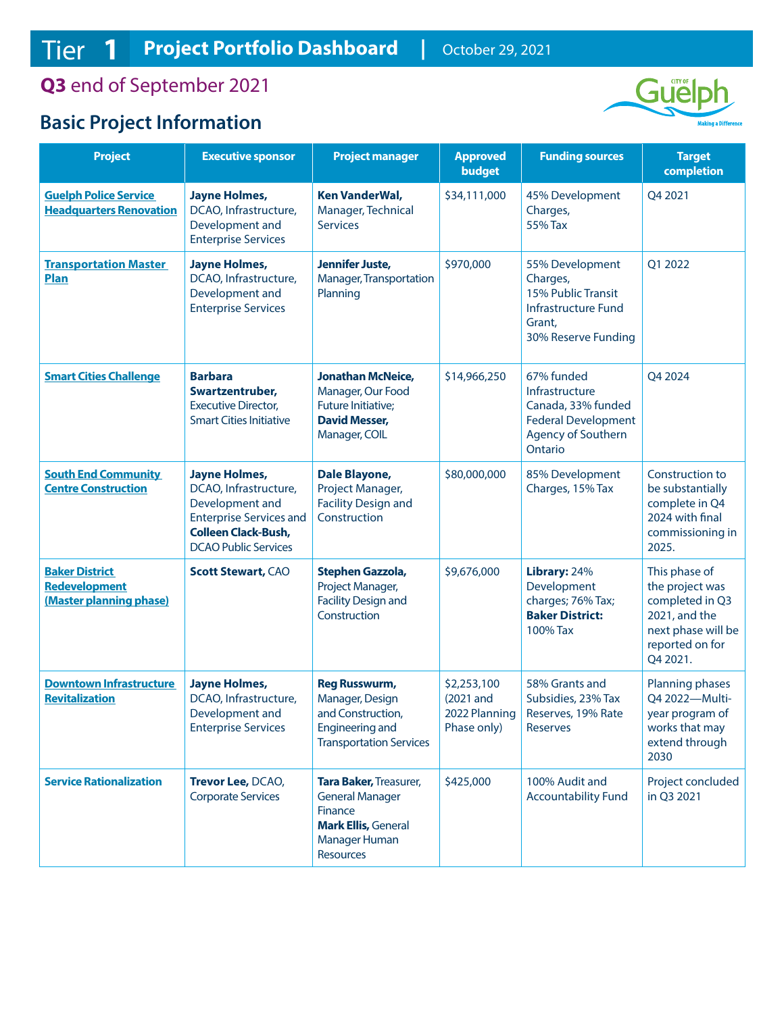## **Q3** end of September 2021

# **Basic Project Information**



| <b>Project</b>                                                           | <b>Executive sponsor</b>                                                                                                                                        | <b>Project manager</b>                                                                                                         | <b>Approved</b><br><b>budget</b>                           | <b>Funding sources</b>                                                                                                   | <b>Target</b><br>completion                                                                                               |
|--------------------------------------------------------------------------|-----------------------------------------------------------------------------------------------------------------------------------------------------------------|--------------------------------------------------------------------------------------------------------------------------------|------------------------------------------------------------|--------------------------------------------------------------------------------------------------------------------------|---------------------------------------------------------------------------------------------------------------------------|
| <b>Guelph Police Service</b><br><b>Headquarters Renovation</b>           | <b>Jayne Holmes,</b><br>DCAO, Infrastructure,<br>Development and<br><b>Enterprise Services</b>                                                                  | <b>Ken VanderWal,</b><br>Manager, Technical<br><b>Services</b>                                                                 | \$34,111,000                                               | 45% Development<br>Charges,<br>55% Tax                                                                                   | Q4 2021                                                                                                                   |
| <b>Transportation Master</b><br><b>Plan</b>                              | <b>Jayne Holmes,</b><br>DCAO, Infrastructure,<br>Development and<br><b>Enterprise Services</b>                                                                  | Jennifer Juste,<br>Manager, Transportation<br>Planning                                                                         | \$970,000                                                  | 55% Development<br>Charges,<br>15% Public Transit<br>Infrastructure Fund<br>Grant,<br>30% Reserve Funding                | Q1 2022                                                                                                                   |
| <b>Smart Cities Challenge</b>                                            | <b>Barbara</b><br>Swartzentruber,<br><b>Executive Director,</b><br><b>Smart Cities Initiative</b>                                                               | <b>Jonathan McNeice,</b><br>Manager, Our Food<br>Future Initiative;<br><b>David Messer,</b><br>Manager, COIL                   | \$14,966,250                                               | 67% funded<br>Infrastructure<br>Canada, 33% funded<br><b>Federal Development</b><br><b>Agency of Southern</b><br>Ontario | Q4 2024                                                                                                                   |
| <b>South End Community</b><br><b>Centre Construction</b>                 | <b>Jayne Holmes,</b><br>DCAO, Infrastructure,<br>Development and<br><b>Enterprise Services and</b><br><b>Colleen Clack-Bush,</b><br><b>DCAO Public Services</b> | Dale Blayone,<br>Project Manager,<br><b>Facility Design and</b><br>Construction                                                | \$80,000,000                                               | 85% Development<br>Charges, 15% Tax                                                                                      | Construction to<br>be substantially<br>complete in Q4<br>2024 with final<br>commissioning in<br>2025.                     |
| <b>Baker District</b><br><b>Redevelopment</b><br>(Master planning phase) | <b>Scott Stewart, CAO</b>                                                                                                                                       | Stephen Gazzola,<br>Project Manager,<br><b>Facility Design and</b><br>Construction                                             | \$9,676,000                                                | Library: 24%<br>Development<br>charges; 76% Tax;<br><b>Baker District:</b><br>100% Tax                                   | This phase of<br>the project was<br>completed in Q3<br>2021, and the<br>next phase will be<br>reported on for<br>Q4 2021. |
| <b>Downtown Infrastructure</b><br><b>Revitalization</b>                  | <b>Jayne Holmes,</b><br>DCAO, Infrastructure,<br>Development and<br><b>Enterprise Services</b>                                                                  | <b>Reg Russwurm,</b><br>Manager, Design<br>and Construction,<br>Engineering and<br><b>Transportation Services</b>              | \$2,253,100<br>$(2021$ and<br>2022 Planning<br>Phase only) | 58% Grants and<br>Subsidies, 23% Tax<br>Reserves, 19% Rate<br><b>Reserves</b>                                            | Planning phases<br>Q4 2022-Multi-<br>year program of<br>works that may<br>extend through<br>2030                          |
| <b>Service Rationalization</b>                                           | Trevor Lee, DCAO,<br><b>Corporate Services</b>                                                                                                                  | Tara Baker, Treasurer,<br><b>General Manager</b><br>Finance<br><b>Mark Ellis, General</b><br>Manager Human<br><b>Resources</b> | \$425,000                                                  | 100% Audit and<br><b>Accountability Fund</b>                                                                             | Project concluded<br>in Q3 2021                                                                                           |